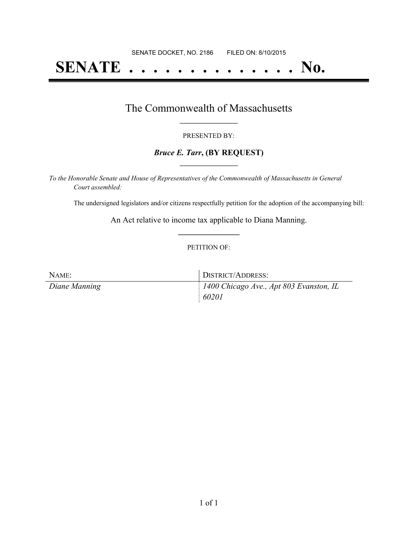# **SENATE . . . . . . . . . . . . . . No.**

## The Commonwealth of Massachusetts **\_\_\_\_\_\_\_\_\_\_\_\_\_\_\_\_\_**

#### PRESENTED BY:

### *Bruce E. Tarr***, (BY REQUEST) \_\_\_\_\_\_\_\_\_\_\_\_\_\_\_\_\_**

*To the Honorable Senate and House of Representatives of the Commonwealth of Massachusetts in General Court assembled:*

The undersigned legislators and/or citizens respectfully petition for the adoption of the accompanying bill:

An Act relative to income tax applicable to Diana Manning. **\_\_\_\_\_\_\_\_\_\_\_\_\_\_\_**

#### PETITION OF:

| NAME:         | DISTRICT/ADDRESS:                       |
|---------------|-----------------------------------------|
| Diane Manning | 1400 Chicago Ave., Apt 803 Evanston, IL |
|               | 60201                                   |